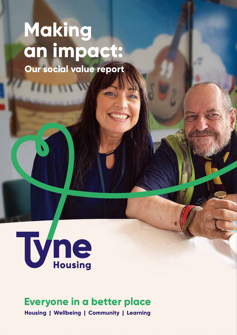# **Making an impact:**

**Our social value report**



 **Everyone in a better place**

**Housing | Wellbeing | Community | Learning**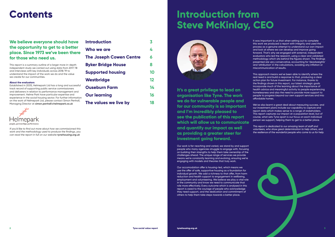## **Contents**

### **We believe everyone should have the opportunity to get to a better place. Since 1973 we've been there for those who need us.**

This report is a summary outline of a larger more in-depth independent study we carried out using data from 2017/18 and interviews with key individuals across 2018/19 to understand the impact of the work we do and the value we create for our communities.

### **About the evaluators**

Established in 2005, Helmepark Ltd has a long and successful track record of supporting public service commissioners and deliverers in relation to performance management and improvement. Helme Park have particular expertise and experience in the social housing sector. For further information on the work of Helmepark Ltd, please contact Simon Penhall, Managing Director at **simon.penhall@helmepark.co.uk**



If you'd like to find out more about how we commissioned this work and the methodology used to produce the findings, you can read the report in full on our website **tynehousing.org.uk** 

| <b>Introduction</b>            | 3  |
|--------------------------------|----|
| Who we are                     | 4  |
| <b>The Joseph Cowen Centre</b> | 6  |
| <b>Byker Bridge House</b>      | 8  |
| <b>Supported housing</b>       | 10 |
| <b>Westbridge</b>              | 12 |
| <b>Ouseburn Farm</b>           | 14 |
| <b>Our learning</b>            | 16 |
| The values we live by          | 18 |

## **Introduction from Steve McKinlay, CEO**



**It's a great privilege to lead an organisation like Tyne. The work we do for vulnerable people and for our community is so important and I'm incredibly pleased to see the publication of this report which will allow us to communicate and quantify our impact as well as providing a greater steer for investment going forward.**

Our work is far-reaching and varied, we stand by and support people who many agencies struggle to engage with, focusing on building their strengths to help them take ownership of the challenges ahead. The unique range of services we provide means we're constantly learning and evolving, ensuring we're engaging with models and theories that truly work.

Our accomodation offer is housing-led, which means we use the offer of safe, supportive housing as a foundation for individual growth. We add a richness to that offer, from harm reduction and health support to engagement in wellbeing, employment and volunteering. We believe we play a vital role in the community and know we need to communicate that role more effectively. Every outcome which is analysed in this report is owed to the courage of people who acknowledge they need support, and the dedication and commitment of others to help them take steps towards a better place.

It was important to us that when setting out to complete this work we produced a report with integrity and used the process as a genuine attempt to understand our own impact and look at where we can develop and improve going forward. That's why we engaged with external, independent evaluators who led the research, using a clear and validated methodology which sits behind the figures shown. The findings presented are very conservative, accounting for 'deadweights' and 'attribution' in the calculations, avoiding any inflation or miscommunication of results.

This approach means we've been able to identify where the real need is and build a response to that, producing a clear action plan for future investment. For instance, thanks to the findings shown in this report, our latest strategic goals incorporate much of the learning about the importance of health advice and meaningful activity to people experiencing homelessness and also the need to provide more support to people to progress beyond our own support services and into affordable homes.

We've also learnt a great deal about measuring success, and our investment plans include our capability to capture and report data which makes sense to a range of stakeholders. This report captures our impact at a population level, but of course, what sets Tyne apart is our focus on each individual person we support, helping them to get to a better place.

This report is dedicated to our amazing team of staff and volunteers, who show great determination to help others, and the resilience of the wonderful people who come to us for help.



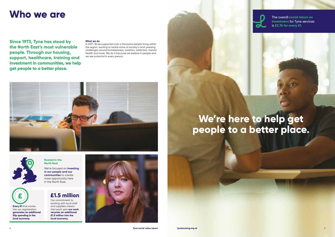Our commitment to working with local staff and suppliers means that each year **our work recycles an additional £1.5 million into the local economy.**



**Every £1** that comes into our organisation **generates an additional 53p spending in the local economy.**

### **Rooted in the North East**

We're focused on **investing in our people and our communities** to create more opportunity here in the North East.

### **Who we are**

# We're here to help get **people to a better place.**

**Since 1973, Tyne has stood by the North East's most vulnerable people. Through our housing, support, healthcare, training and investment in communities, we help get people to a better place.**

### **What we do**

In 2017/18 we supported over a thousand people living within the region, working to tackle some of society's most pressing challenges around homelessness, isolation, addiction, mental health and more. We do it because we believe in people and we see potential in every person.





The overall **social return on investment** for Tyne services is **£2.76 for every £1.**

### **£1.5 million**

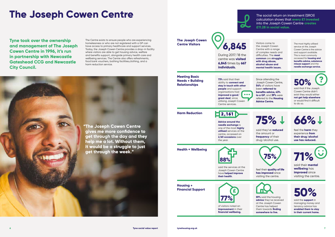# **The Joseph Cowen Centre**

**Tyne took over the ownership and management of The Joseph Cowen Centre in 1996, it's run in partnership with Newcastle Gateshead CCG and Newcastle City Council.**

The Centre exists to ensure people who are experiencing homelessness or who are not registered with a GP can have access to primary healthcare and support services. Today, the Joseph Cowen Centre provides a drop-in facility where visitors are able to get housing advice, welfare and benefits support, alongside primary health care and wellbeing services. The Centre also offers refreshments, food bank vouchers, bathing facilities,clothing, and a harm reduction service.

Centre Visitors **Visitors Centre Visitors Centre Visitors Come to 6,845 Centre with a ra** the Joseph Cowen Centre with a range of complex needs and difficulties. The **most common** are **struggles with drug abuse, alcohol abuse and mental health issues.**

 **"The Joseph Cowen Centre gives me more confidence to get through the day and they help me a lot. Without them, it would be a struggle to just get through the week."**

**The Joseph Cowen** 

During 2017/18 the centre was **visited 6,845** times by **667 individuals.**

The most highly utilised service at the Joseph Cowen Centre is the advice and support available. This is most commonly accessed for **housing and benefits advice, substance misuse support** and the **needle exchange service.**

Since attending the Joseph Cowen Centre, **54%** of visitors have been **referred to benefits advice, 43% to a GP**, and **39%** were referred to the **Housing Advice Centre.**

said that if the Joseph Cowen Centre didn't exist they would either **not get help elsewhere** or would find it difficult to do so.



$$
75\% \downarrow
$$

said they've **reduced** the amount or **frequency** of their drug/alcohol use.

### **66%**

feel the **harm** they experience **from their drug/alcohol use has reduced.**

### **50% ?**

feel their **quality of life has improved** since visiting the centre.

**71%**

said their **mental wellbeing** has **improved** since visiting the centre.



**59%** said the housing **advice** they've received at the Joseph Cowen Centre has helped them towards **finding somewhere to live.**



said the **support** in managing money and tenancy advice has **enabled them to stay in their current home.**



The social return on investment (SROI) calculation shows that **every £1 invested** into the Joseph Cowen Centre **creates £11.28 in social value.**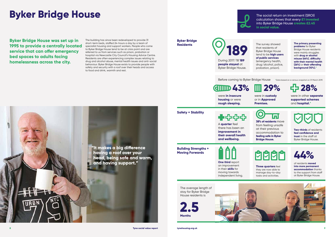# **Byker Bridge House**

**Byker Bridge House was set up in 1995 to provide a centrally located service that can offer emergency bed spaces to adults facing homelessness across the city.** 

The building has since been redeveloped to provide 31 short-term beds, staffed 24-hours a day by a team of specialist housing and support workers. People who come to Byker Bridge House tend to be at crisis point and are referred to us from services such as prison, probation or hospital via Newcastle City Council's Housing Advice Centre. Residents are often experiencing complex issues relating to drug and alcohol abuse, mental health issues and anti-social behaviour. Byker Bridge House exists to provide people with safety and security with a roof over their heads and access to food and drink, warmth and rest.

> A **quarter** feel there has been an **improvement in their overall health and wellbeing.**

**Byker Bridge Residents**



**people stayed** at Byker Bridge House. The survey showed that residents of Byker Bridge House tend to be **high users of public services** (emergency health, drug/alcohol, police, probation, prison).

**The primary presenting problems** for Byker Bridge House residents were mainly struggles with **drug or alcohol misuse (64%)**, **difficulty with their mental health (26%)** or **their offending background (10%).\***

**Safety + Stability**

♣≎≎

**38% of residents** move from feeling unsafe at their previous accommodation to **feeling safe in Byker Bridge House.**

**Two-thirds** of residents **feel confidence and trust** in the staff at Byker Bridge House.

# **AAA**

During 2017/18 **189 189**

**Building Strengths + Moving Forwards**

**One third** report an improvement in their **skills** for moving towards

independent living.

**Three quarters** feel they are now able to manage day-to-day tasks and activities.

**44%**

of residents **moved into more permanent accommodation** thanks to the support from staff at Byker Bridge House.



Before coming to Byker Bridge House

were **in insecure housing** or were **rough sleeping.**

were in **custody** or in **Approved Premises.**

### $\bullet$

were in other **separate supported schemes**  and **hospital.\***

\*Data based on a census snapshot on 31 March 2019.

**43% 29% 28%** 

 **"It makes a big difference having a roof over your head, being safe and warm, and having support."**

> The average length of stay for Byker Bridge House residents is



The social return on investment (SROI) calculation shows that every **£1 invested** into Byker Bridge House **creates £2.45 in social value.**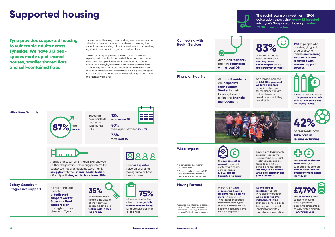

of residents now **take part in leisure activities.**

the **average cost per person** in regards to contact with police/ criminal justice is **£13,077 less for Supported residents.\***

**£**

# **Supported housing**

**Tyne provides supported housing to vulnerable adults across Tyneside. We have 313 bedspaces made up of shared houses, smaller shared flats and self-contained flats.**

Our supported housing model is designed to focus on each individual's personal strengths and needs, meeting them where they are, building a trusting relationship and working together in partnership to get to a better place.

Based on new residents housed with Tyne during  $2017 - 18$ :

All residents are matched with a **dedicated support worker & personalised support plan** throughout their stay with Tyne. **Progressive Support All residents are 35%** 

The majority of people who live with us at Tyne have experienced complex issues in their lives and often come to us after being excluded from other housing options due to their lifestyle, offending history or their difficulties in managing finances. Most residents have experienced periods of homelessness or unstable housing and struggle with multiple social and health issues relating to addiction and mental wellbeing.

### **Who Lives With Us**

A snapshot taken on 31 March 2019 showed us that the primary presenting problems for supported housing residents were mainly **struggles** with their **mental health (35%)** or difficulty with **drug or alcohol misuse (28%).**

Over **one quarter** have an offending background or have been in prison.

**EA88** 

**Safety, Security +** 



at their previous accommodation to **feeling safe in their Tyne home.**

Almost **all residents** are now **registered with a local GP.**

**Connecting with** 



of those that have been identified as **needing mental health support** are now **registered with services.** **69%** of people who are struggling with drug or alcohol misuse **are receiving treatment or are registered with relevant support services.**

Almost **all residents Financial Stability** An average increase are **helped by their Support Worker** in their Housing Benefit claim and **financial management.**



### of **£4,000** in **personal welfare payments**

is achieved per year for residents who are helped to claim the benefits to which they are eligible.

A **third** of residents report an **improvement in their skills** for **budgeting and managing money.**



Tyne's supported residents are much less likely to use expensive blue-light health services and are found to commit less crime, being four times **less likely to have contact with police, probation and prison services.\***



### **Wider Impact**

The **annual healthcare costs** for a Tyne supported resident are **£6,900 lower than the average for a homeless individual.\*\***

Within 2018/19 **28% of supported housing residents** had a **positive move-on** into one of Tyne's lower-supported accommodation types such as a smaller shared flat or the Beavans/Farm View developments.

### **Moving Forward**

**Over a third of residents** who left Tyne accommodation were **supported into independent living** such as a general needs tenancy with a social

landlord or privately rented accommodation. The **cost saving** from someone moving from supported accommodation into a socially rented property is **£7,790 per year.**\*

\* In comparison to a recently homeless group.

\*\*Based on reduced costs to NHS primary and secondary care, plus drug and alcohol services.

\*Based on the difference in cost per night of Tyne Supported Housing compared to average local rents for Local Authority social housing.









### The social return on investment (SROI) calculation shows that **every £1 invested** into Tyne's Supported Housing **creates £2.38 in social value.**



**12%**





**50%** were aged between **26 - 59**

**38%** were **over 60**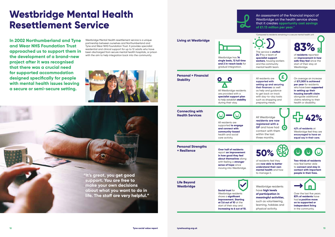## **Westbridge Mental Health Resettlement Service**

**In 2002 Northumberland and Tyne and Wear NHS Foundation Trust approached us to support them in the development of a brand-new project after it was recognised that there was a crucial need for supported accommodation designed specifically for people with mental health issues leaving a secure or semi-secure setting.**



Westbridge Mental Health resettlement service is a unique partnership between ourselves and Northumberland and Tyne and Wear NHS Foundation Trust. It provides specialist residential and clinical support for up to 12 adults who have been discharged from secure mental health hospitals, or prison

The service is **staffed 24/7** by a team of **specialist support workers**, housing workers and the community mental health team.

# **83%**

**Over half of residents**  report **an improvement in how good they feel about themselves** along with feeling a **stronger sense of hope** since moving into Westbridge. **+ Resilience b 50%**<br>**50% how good they feel 50%** 

of **residents** reported an **improvement in how safe they feel** since the start of their stay at Westbridge.

All Westbridge residents are provided with a **specialist support plan** to help establish **stability** during their stay.

as help and guidance to get back on track with day-to-day tasks such as shopping and preparing meals.

**Westbridge** Westbridge residents have **high levels of participation in meaningful activities**, such as volunteering, learning, hobbies and physical activity.



On average an increase of **£11,500 is achieved per year** for residents who have been **supported in setting up their housing benefit claim**  alongside additional claims relating to their health or disability.

All residents are supported **to engage and connect with community-based** health and social care activity.

**Connecting with** 



**residents are now registered with a GP** and have had **O** contact with them within the last three months.

**42% of residents** at Westbridge feel they are **encouraged to have an equal say in their care.**



 $\mathbf{G}$ <u>်ပ</u>

**supported with setting up and securing their finances** as well **£**

**Personal Strengths** 

of residents feel they are **now able to better understand their own mental health** and how to manage it.

**Two-thirds of residents**  now feel better able

to **connect and stay in contact with important people in their lives.**

**Social trust** for Westbridge residents shows a **significant improvement. Starting at 3.6 out of 10** at the start of their stay and **increasing to 6 out of 10.**

**Life Beyond** 

Over the last five years **83% of residents** have had **a positive move on to supported or independent living** in the community.

# **42%**



### with the aim to help integration back into the community.<br>Westbridge has **14 single beds, 12 full time and 2 in-reach beds** for gradual integration. **Living at Westbridge Personal + Financial Stability All residents are all residents are all residents are all residents are all residents are all residents are all residents.**

An assessment of the financial impact of Westbridge on the health service shows that it creates **opportunity cost savings of £1.13 million per year.\***

\*Compared to residents remaining in a secure mental health unit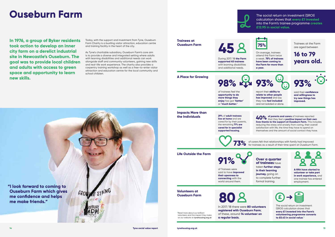## **Ouseburn Farm**

**In 1976, a group of Byker residents took action to develop an inner city farm on a derelict industrial site in Newcastle's Ouseburn. The goal was to provide local children and adults with access to green space and opportunity to learn new skills.**

Today, with the support and investment from Tyne, Ouseburn Farm Charity is a bustling visitor attraction, education centre and training facility in the heart of the city.

As Tyne's charitable subsidiary, Ouseburn Farm's core aim is to provide a diverse and integrated setting where adults with learning disabilities and additional needs can work alongside staff and community volunteers, gaining new skills and real-life work experience. The charity also provides a carpentry training workshop as well as a free-to-enter visitor attraction and education centre for the local community and school children.

**98%** 

of trainees feel the **opportunity to do more things they enjoy** has got **'better'** or **'much better.'**

**Trainees at Ouseburn Farm**



During 2017/18 **the Farm supported 45 trainees** with learning disabilities and additional needs.

On average, trainees attend the Farm twice a week. **75% of trainees have been coming to the Farm for more than a year.**

Trainees at the Farm are aged between

**16 to 79 years old.**

**A Place for Growing**



report their **ability to relate to other people has improved** and say they now **feel included** and not isolated or alone.



said their **confidence and willingness to try new things has improved.**

**Impacts More than the Individuals 29%** of **adult trainees** 

**live at home** and are cared for by their parents, the remaining **71% are cared for in specialist supported housing.**

 **of parents and carers** of trainees reported  $40\%$  of parents and carers of trainees reported that they feel a **positive impact on their own lives thanks to the support at Ouseburn Farm.** This includes reducing the stress and anxiety from caring, their overall satisfaction with life, the time they have to spend on themselves and the amount of social contact they have.

of carers felt that relationships with family had improved for trainees as a result of their time spent at Ouseburn Farm.

**Life Outside the Farm**

**91%** 

of Trainees were said to have **improved their openness to connecting** with the world around them.

**Over a quarter of trainees** have taken **further steps in their learning journey,** going on to complete further formal training.



**Volunteers at Ouseburn Farm**

**registered with Ouseburn Farm**;

of these, around **14 volunteer on a regular basis.**



The social return on investment (SROI) calculation shows that **every £1 invested into the Farm's volunteering programme converts to £5.43 in social value**.**\***

In 2017/18 there were **80 volunteers 80**

\*Read more about our brilliant volunteers and the impact they make on our website at **tynehousing.org.uk**



**73%**

**45**



 **"I look forward to coming to Ouseburn Farm which gives me confidence and helps** 

**me make friends."**

The social return on investment (SROI) calculation shows that **every £1 invested**  into the Farm's trainee programme **creates £12.95 in social value.**

**14 Tyne social value report tynehousing.org.uk 15**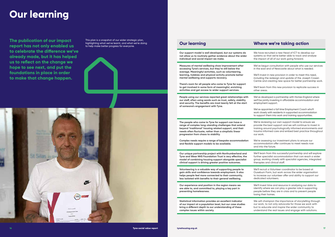## **Our learning**

**The publication of our impact report has not only enabled us to celebrate the difference we've already made, but it has helped us to reflect on the change we hope to see next, and put the foundations in place in order to make that change happen.**

This plan is a snapshot of our wider strategic plan, highlighting what we've learnt, and what we're doing to help make better progress for everyone. **Our learning Where we're taking action**



**Our support model is well developed, but our systems do not allow us to routinely gather evidence about the wider individual and social impact we make.** 

We have recruited a new Head of ICT to develop our systems so that we're better able to track and analyse the impact of all of our work going forward.

**Measures of mental wellbeing show improvement after accessing Tyne's services, but they're still below the average. Meaningful activities, such as volunteering, learning, hobbies and physical activity promote better mental wellbeing and supports recovery.**

**There's room for all people who come to Tyne for support to get involved in some form of meaningful, enriching activities and get access to wider support services.**

We've begun consultation with people who use our services in the east end of Newcastle about what is needed.

We'll invest in new provision in order to meet this need, including the redesign and update of the Joseph Cowen Centre and creating new space for better partnership work.

We'll learn from this new provision to replicate success in other areas.

We'll learn from this successful partnership and will explore further specialist accommodation that can reach a wider group, working closely with specialist agencies, integrated therapies and clinical staff.

**People using our services reported great relationships with our staff, often using words such as trust, safety, stability and security. The benefits are most keenly felt at the start of someone's engagement with Tyne.**

We've developed a partnership with Homes England where we'll be jointly investing in affordable accommodation and employment support.

We've appointed a full time Employment Coach who'll work closely with residents in supported accommodation to support them into work and training opportunities.

We will champion the importance of storytelling through our work, to not only advocate for those we work with but to educate and inspire the wider community to understand the real issues and engage with solutions.

**The people who come to Tyne for support can have a range of complex long-standing challenges that extend beyond 'traditional' housing related support, and their needs often fluctuate, rather than a simplistic linear progression from chaos to stability.**

**Complex needs require a range of bespoke accommodation and flexible support models to be available.**

We're reviewing our own support model to ensure we provide the best support and we will continue to invest in training around psychologically informed environments and trauma informed care and embed best practice throughout our work.

We're assessing our investment plans to ensure our accommodation offer continues to meet needs now and into the future.

**Our unique partnership project with Northumberland and Tyne and Wear NHS Foundation Trust is very effective, the model of combining housing support alongside specialist clinical support is driving greater positive outcomes.**

**Volunteering is a valuable way of supporting people to gain skills and confidence towards employment. It also helps people feel more connected to their community, less isolated with benefits to their general wellbeing.**

We'll recruit a Volunteer coordinator to be based at Ouseburn Farm, but work across the wider organisation to increase our volunteer offer and ability to support our dedicated volunteers.

**Our experience and position in the region means we are able to, and committed to, playing a key part in preventing homelessness.**

We'll invest time and resource in analysing our data to identify where we can play a greater role in supporting people before they are in crisis and to prevent people losing their homes.

**Statistical information provides an excellent indicator of our impact at a population level, but our case studies bring a different depth to our understanding of these complex issues within society.**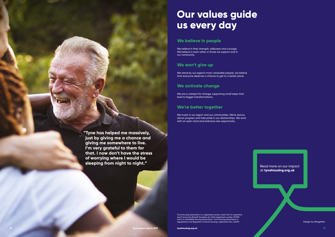Read more on our impact at **tynehousing.org.uk**

Design by Altogether

Tyne Housing Association is a registered society under the Co-operative and Community Benefit Societies Act 2014 (registered number 21011R) and is a charitable Housing Association. Tyne Housing Association is regulated by the Regulator of Social Housing, registration No. LH4297.

# **Our values guide us every day**

### **We believe in people**

We believe in their strength, willpower and courage. We believe in each other, in those we support and in our community.

### **We won't give up**

We stand by our region's most vulnerable people, we believe that everyone deserves a chance to get to a better place.

### **We activate change**

We are a catalyst for change, supporting small steps that lead to bigger transformations.

### **We're better together**

We invest in our region and our communities. We're serious about progress and take pride in our relationships. We work with an open mind and embrace new opportunity.

 **"Tyne has helped me massively, just by giving me a chance and giving me somewhere to live. I'm very grateful to them for that. I now don't have the stress of worrying where I would be sleeping from night to night."**